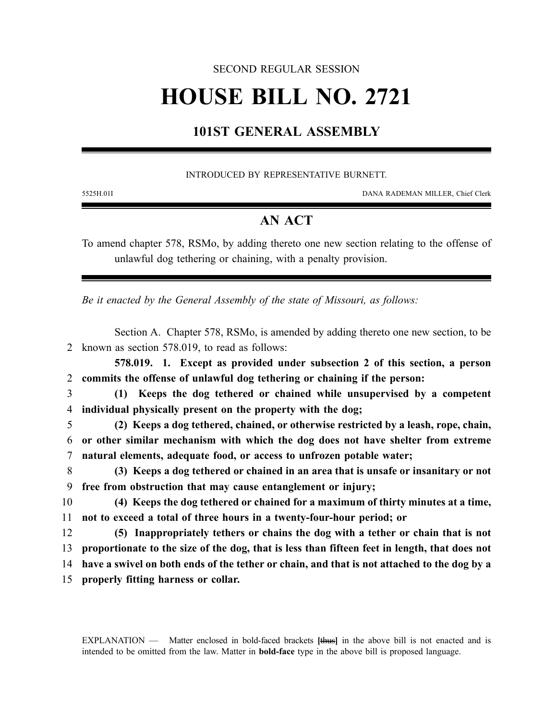### SECOND REGULAR SESSION

# **HOUSE BILL NO. 2721**

## **101ST GENERAL ASSEMBLY**

#### INTRODUCED BY REPRESENTATIVE BURNETT.

5525H.01I DANA RADEMAN MILLER, Chief Clerk

## **AN ACT**

To amend chapter 578, RSMo, by adding thereto one new section relating to the offense of unlawful dog tethering or chaining, with a penalty provision.

*Be it enacted by the General Assembly of the state of Missouri, as follows:*

Section A. Chapter 578, RSMo, is amended by adding thereto one new section, to be 2 known as section 578.019, to read as follows:

**578.019. 1. Except as provided under subsection 2 of this section, a person** 2 **commits the offense of unlawful dog tethering or chaining if the person:**

3 **(1) Keeps the dog tethered or chained while unsupervised by a competent** 4 **individual physically present on the property with the dog;**

5 **(2) Keeps a dog tethered, chained, or otherwise restricted by a leash, rope, chain,** 6 **or other similar mechanism with which the dog does not have shelter from extreme** 7 **natural elements, adequate food, or access to unfrozen potable water;**

8 **(3) Keeps a dog tethered or chained in an area that is unsafe or insanitary or not** 9 **free from obstruction that may cause entanglement or injury;**

10 **(4) Keeps the dog tethered or chained for a maximum of thirty minutes at a time,** 11 **not to exceed a total of three hours in a twenty-four-hour period; or**

 **(5) Inappropriately tethers or chains the dog with a tether or chain that is not proportionate to the size of the dog, that is less than fifteen feet in length, that does not** 14 have a swivel on both ends of the tether or chain, and that is not attached to the dog by a **properly fitting harness or collar.**

EXPLANATION — Matter enclosed in bold-faced brackets **[**thus**]** in the above bill is not enacted and is intended to be omitted from the law. Matter in **bold-face** type in the above bill is proposed language.